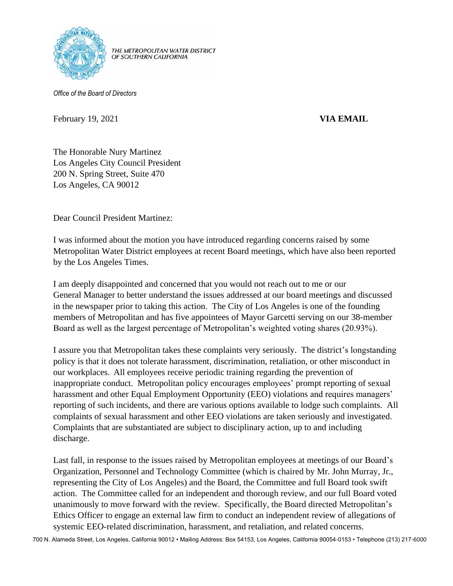

THE METROPOLITAN WATER DISTRICT OF SOUTHERN CALIFORNIA

*Office of the Board of Directors*

February 19, 2021 **VIA EMAIL** 

The Honorable Nury Martinez Los Angeles City Council President 200 N. Spring Street, Suite 470 Los Angeles, CA 90012

Dear Council President Martinez:

I was informed about the motion you have introduced regarding concerns raised by some Metropolitan Water District employees at recent Board meetings, which have also been reported by the Los Angeles Times.

I am deeply disappointed and concerned that you would not reach out to me or our General Manager to better understand the issues addressed at our board meetings and discussed in the newspaper prior to taking this action. The City of Los Angeles is one of the founding members of Metropolitan and has five appointees of Mayor Garcetti serving on our 38-member Board as well as the largest percentage of Metropolitan's weighted voting shares (20.93%).

I assure you that Metropolitan takes these complaints very seriously. The district's longstanding policy is that it does not tolerate harassment, discrimination, retaliation, or other misconduct in our workplaces. All employees receive periodic training regarding the prevention of inappropriate conduct. Metropolitan policy encourages employees' prompt reporting of sexual harassment and other Equal Employment Opportunity (EEO) violations and requires managers' reporting of such incidents, and there are various options available to lodge such complaints. All complaints of sexual harassment and other EEO violations are taken seriously and investigated. Complaints that are substantiated are subject to disciplinary action, up to and including discharge.

Last fall, in response to the issues raised by Metropolitan employees at meetings of our Board's Organization, Personnel and Technology Committee (which is chaired by Mr. John Murray, Jr., representing the City of Los Angeles) and the Board, the Committee and full Board took swift action. The Committee called for an independent and thorough review, and our full Board voted unanimously to move forward with the review. Specifically, the Board directed Metropolitan's Ethics Officer to engage an external law firm to conduct an independent review of allegations of systemic EEO-related discrimination, harassment, and retaliation, and related concerns.

700 N. Alameda Street, Los Angeles, California 90012 • Mailing Address: Box 54153, Los Angeles, California 90054-0153 • Telephone (213) 217-6000